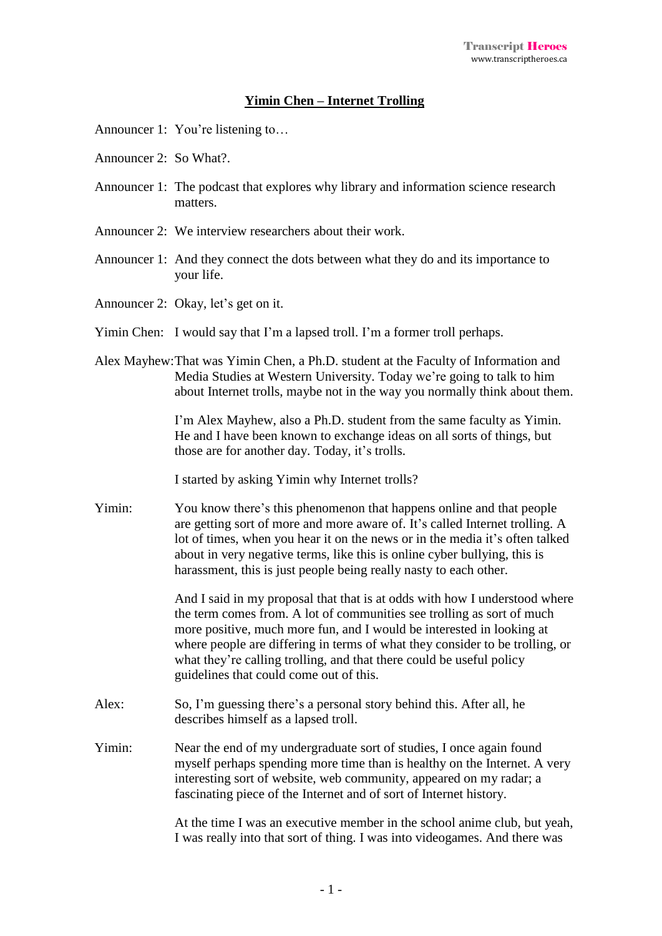## **Yimin Chen – Internet Trolling**

Announcer 1: You're listening to…

- Announcer 2: So What?.
- Announcer 1: The podcast that explores why library and information science research matters.
- Announcer 2: We interview researchers about their work.
- Announcer 1: And they connect the dots between what they do and its importance to your life.
- Announcer 2: Okay, let's get on it.
- Yimin Chen: I would say that I'm a lapsed troll. I'm a former troll perhaps.
- Alex Mayhew:That was Yimin Chen, a Ph.D. student at the Faculty of Information and Media Studies at Western University. Today we're going to talk to him about Internet trolls, maybe not in the way you normally think about them.

I'm Alex Mayhew, also a Ph.D. student from the same faculty as Yimin. He and I have been known to exchange ideas on all sorts of things, but those are for another day. Today, it's trolls.

I started by asking Yimin why Internet trolls?

Yimin: You know there's this phenomenon that happens online and that people are getting sort of more and more aware of. It's called Internet trolling. A lot of times, when you hear it on the news or in the media it's often talked about in very negative terms, like this is online cyber bullying, this is harassment, this is just people being really nasty to each other.

> And I said in my proposal that that is at odds with how I understood where the term comes from. A lot of communities see trolling as sort of much more positive, much more fun, and I would be interested in looking at where people are differing in terms of what they consider to be trolling, or what they're calling trolling, and that there could be useful policy guidelines that could come out of this.

- Alex: So, I'm guessing there's a personal story behind this. After all, he describes himself as a lapsed troll.
- Yimin: Near the end of my undergraduate sort of studies, I once again found myself perhaps spending more time than is healthy on the Internet. A very interesting sort of website, web community, appeared on my radar; a fascinating piece of the Internet and of sort of Internet history.

At the time I was an executive member in the school anime club, but yeah, I was really into that sort of thing. I was into videogames. And there was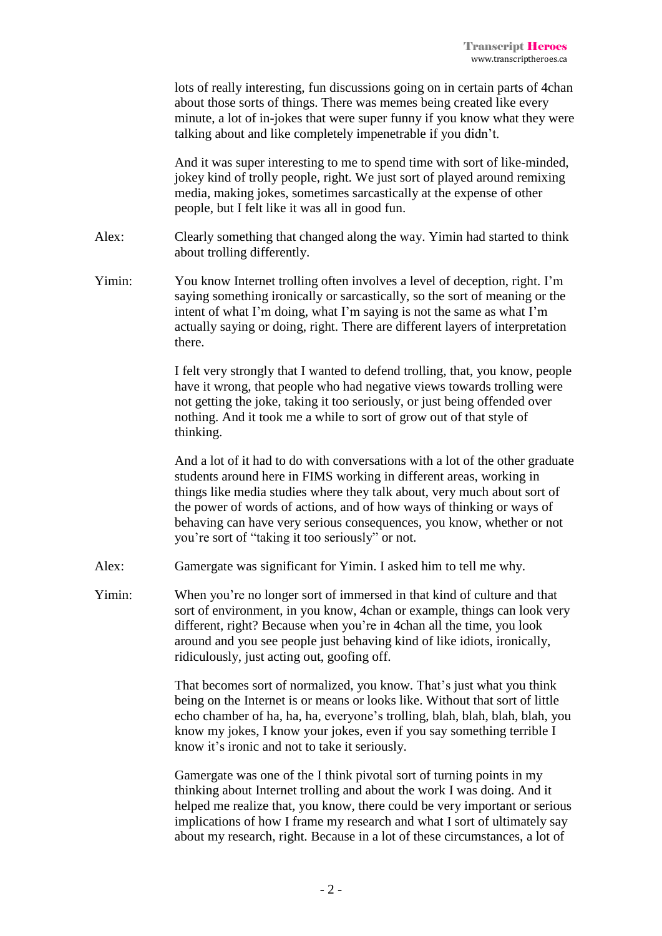|        | lots of really interesting, fun discussions going on in certain parts of 4chan<br>about those sorts of things. There was memes being created like every<br>minute, a lot of in-jokes that were super funny if you know what they were<br>talking about and like completely impenetrable if you didn't.                                                                                                                                 |
|--------|----------------------------------------------------------------------------------------------------------------------------------------------------------------------------------------------------------------------------------------------------------------------------------------------------------------------------------------------------------------------------------------------------------------------------------------|
|        | And it was super interesting to me to spend time with sort of like-minded,<br>jokey kind of trolly people, right. We just sort of played around remixing<br>media, making jokes, sometimes sarcastically at the expense of other<br>people, but I felt like it was all in good fun.                                                                                                                                                    |
| Alex:  | Clearly something that changed along the way. Yimin had started to think<br>about trolling differently.                                                                                                                                                                                                                                                                                                                                |
| Yimin: | You know Internet trolling often involves a level of deception, right. I'm<br>saying something ironically or sarcastically, so the sort of meaning or the<br>intent of what I'm doing, what I'm saying is not the same as what I'm<br>actually saying or doing, right. There are different layers of interpretation<br>there.                                                                                                          |
|        | I felt very strongly that I wanted to defend trolling, that, you know, people<br>have it wrong, that people who had negative views towards trolling were<br>not getting the joke, taking it too seriously, or just being offended over<br>nothing. And it took me a while to sort of grow out of that style of<br>thinking.                                                                                                            |
|        | And a lot of it had to do with conversations with a lot of the other graduate<br>students around here in FIMS working in different areas, working in<br>things like media studies where they talk about, very much about sort of<br>the power of words of actions, and of how ways of thinking or ways of<br>behaving can have very serious consequences, you know, whether or not<br>you're sort of "taking it too seriously" or not. |
| Alex:  | Gamergate was significant for Yimin. I asked him to tell me why.                                                                                                                                                                                                                                                                                                                                                                       |
| Yimin: | When you're no longer sort of immersed in that kind of culture and that<br>sort of environment, in you know, 4chan or example, things can look very<br>different, right? Because when you're in 4chan all the time, you look<br>around and you see people just behaving kind of like idiots, ironically,<br>ridiculously, just acting out, goofing off.                                                                                |
|        | That becomes sort of normalized, you know. That's just what you think<br>being on the Internet is or means or looks like. Without that sort of little<br>echo chamber of ha, ha, ha, everyone's trolling, blah, blah, blah, blah, you<br>know my jokes, I know your jokes, even if you say something terrible I<br>know it's ironic and not to take it seriously.                                                                      |
|        | Gamergate was one of the I think pivotal sort of turning points in my<br>thinking about Internet trolling and about the work I was doing. And it<br>helped me realize that, you know, there could be very important or serious<br>implications of how I frame my research and what I sort of ultimately say                                                                                                                            |

about my research, right. Because in a lot of these circumstances, a lot of